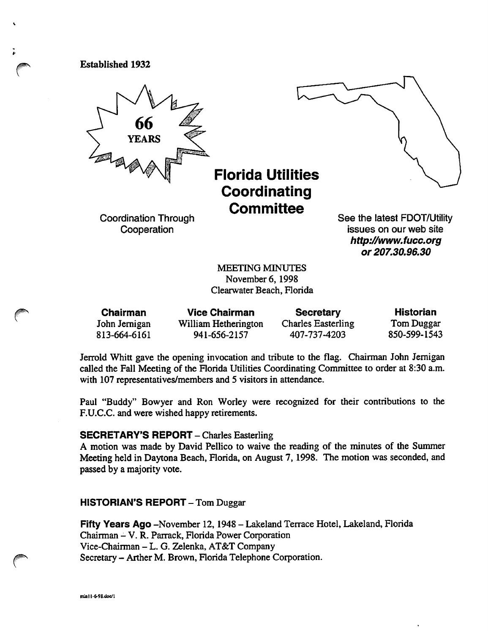Established 1932



Florida Utilities Coordinating **Committee** 

Coordination Through Cooperation

See the latest FDOT/Utility issues on our web site http://www.fucc.org or 207.30.96.30

MEETING MINUTES November 6,1998 Clearwater Beach, Florida

| <b>Chairman</b> | <b>Vice Chairman</b> | <b>Secretary</b>          | <b>Historian</b> |
|-----------------|----------------------|---------------------------|------------------|
| John Jernigan   | William Hetherington | <b>Charles Easterling</b> | Tom Duggar       |
| 813-664-6161    | 941-656-2157         | 407-737-4203              | 850-599-1543     |

Jerrold Whitt gave the opening invocation and tribute to the flag. Chairman John Jemigan called the Fall Meeting of the Florida Utilities Coordinating Committee to order at 8:30 a.m. with 107 representatives/members and 5 visitors in attendance.

Paul "Buddy" Bowyer and Ron Worley were recognized for their contributions to the F.U.C.C. and were wished happy retirements.

### SECRETARY'S REPORT - Charles Easterling

A motion was made by David Pellico to waive the reading of the minutes of the Summer Meeting held in Daytona Beach, Horida, on August 7, 1998. The motion was seconded, and passed by a majority vote.

### HISTORIAN'S REPORT-Tom Duggar

Fifty Years Ago -November 12,1948 - Lakeland Terrace Hotel, Lakeland, Florida Chairman - V. R. Parrack, Florida Power Corporation Vice-Chairman - L. G. Zelenka, AT&T Company Secretary - Arther M. Brown, Florida Telephone Corporation.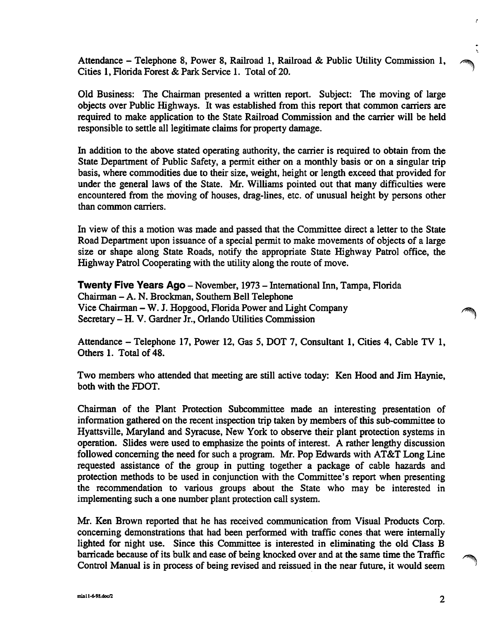Attendance - Telephone 8, Power 8, Railroad 1, Railroad & Public Utility Commission 1, Cities 1, Florida Forest & Park Service 1. Total of 20.

Old Business: The Chairman presented a written report. Subject: The moving of large objects over Public Highways. It was established from this report that common carriers are required to make application to the State Railroad Commission and the carrier will be held responsible to settle all legitimate claims for property damage.

In addition to the above stated operating authority, the carrier is required to obtain from the State Department of Public Safety, a permit either on a monthly basis or on a singular trip basis, where commodities due to their size, weight, height or length exceed that provided for under the general laws of the State. Mr. Williams pointed out that many difficulties were encountered from the moving of houses, drag-lines, etc. of unusual height by persons other than common carriers.

In view of this a motion was made and passed that the Committee direct a letter to the State Road Department upon issuance of a special permit to make movements of objects of a large size or shape along State Roads, notify the appropriate State Highway Patrol office, the Highway Patrol Cooperating with the utility along the route of move.

Twenty Five Years Ago - November, 1973 - International Inn, Tampa, Florida Chairman - A. N. Brockman, Southem Bell Telephone Vice Chairman - W. J. Hopgood, Florida Power and Light Company Secretary - H. V. Gardner Jr., Orlando Utilities Commission

Attendance - Telephone 17, Power 12, Gas 5, DOT 7, Consultant 1, Cities 4, Cable TV 1, Others 1. Total of 48.

Two members who attended that meeting are still active today: Ken Hood and Jim Haynie, both with the FDOT.

Chairman of the Plant Protection Subcommittee made an interesting presentation of information gathered on the recent inspection trip taken by members of this sub-committee to Hyattsville, Maryland and Syracuse, New York to observe their plant protection systems in operation. Slides were used to emphasize the points of interest. A rather lengthy discussion followed concerning the need for such a program. Mr. Pop Edwards with AT&T Long Line requested assistance of the group in putting together a package of cable hazards and protection methods to be used in conjunction with the Committee's report when presenting the recommendation to various groups about the State who may be interested in implementing such a one number plant protection call system.

Mr. Ken Brown reported that he has received communication from Visual Products Corp. concerning demonstrations that had been performed with traffic cones that were internally lighted for night use. Since this Committee is interested in eliminating the old Class B barricade because of its bulk and ease of being knocked over and at the same time the Traffic Control Manual is in process of being revised and reissued in the near future, it would seem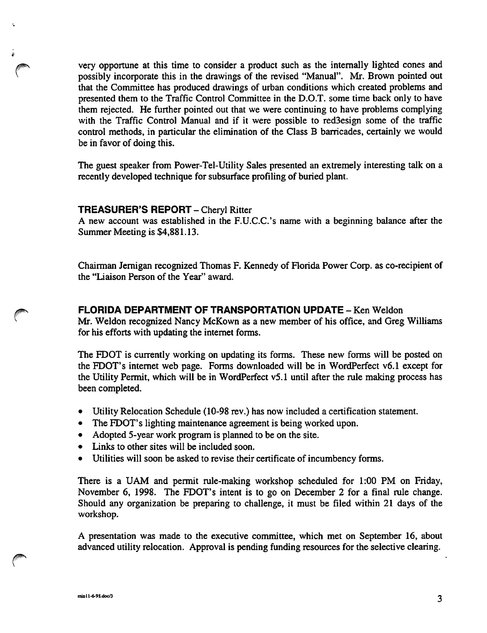very opportune at this time to consider a product such as the intemally lighted cones and possibly incorporate this in the drawings of the revised "Manual". Mr. Brown pointed out that the Committee has produced drawings of urban conditions which created problems and presented them to the Traffic Control Committee in the D.O.T. some time back only to have them rejected. He further pointed out that we were continuing to have problems complying with the Traffic Control Manual and if it were possible to red3esign some of the traffic control methods, in particular the elimination of the Class B barricades, certainly we would be in favor of doing this.

The guest speaker from Power-Tel-Utility Sales presented an extremely interesting talk on a recently developed technique for subsurface profiling of buried plant.

### **TREASURER'S REPORT - Cheryl Ritter**

A new account was established in the F.U.C.C.'s name with a beginning balance after the Summer Meeting is \$4,881.13.

Chairman Jemigan recognized Thomas F. Kennedy of Florida Power Corp. as co-recipient of the "Liaison Person of the Year" award.

# FLORIDA DEPARTMENT OF TRANSPORTATION UPDATE - Ken Weldon

Mr. Weldon recognized Nancy McKown as a new member of his office, and Greg Williams for his efforts with updating the internet forms.

The FDOT is currently working on updating its forms. These new forms will be posted on the FDOT's intemet web page. Forms downloaded will be in WordPerfect v6.1 except for the Utility Permit, which will be in WordPerfect v5.1 until after the rule making process has been completed.

- Utility Relocation Schedule (10-98 rev.) has now included a certification statement.
- The FDOT's lighting maintenance agreement is being worked upon.
- Adopted 5-year work program is planned to be on the site.
- Links to other sites will be included soon.
- Utilities will soon be asked to revise their certificate of incumbency forms.

There is a UAM and permit rule-making workshop scheduled for 1:00 PM on Friday, November 6, 1998. The FDOT's intent is to go on December 2 for a final rule change. Should any organization be preparing to challenge, it must be filed within 21 days of the workshop.

A presentation was made to the executive committee, which met on September 16, about advanced utility relocation. Approval is pending funding resources for the selective clearing.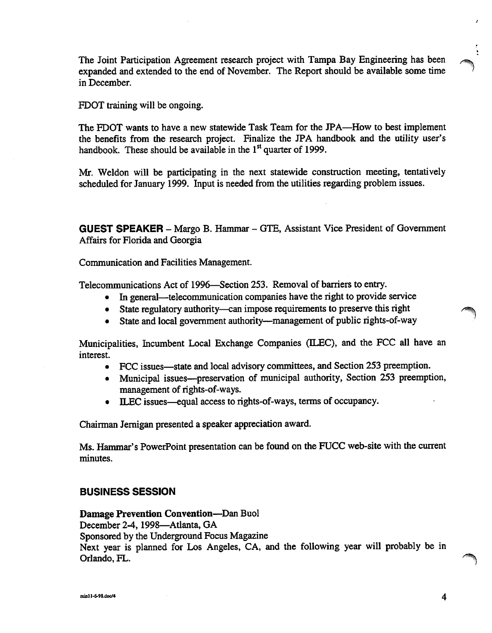The Joint Participation Agreement research project with Tampa Bay Engineering has been expanded and extended to the end of November. The Report should be available some time in December.

FDOT training will be ongoing.

The FOOT wants to have a new statewide Task Team for the JPA—^How to best implement the benefits from the research project. Finalize the JPA handbook and the utility user's handbook. These should be available in the  $1<sup>st</sup>$  quarter of 1999.

Mr. Weldon will be participating in the next statewide construction meeting, tentatively scheduled for January 1999. Input is needed from the utilities regarding problem issues.

GUEST SPEAKER - Margo B. Hammar - GTE, Assistant Vice President of Government Affairs for Florida and Georgia

Communication and Facilities Management.

Telecommunications Act of 1996—Section 253. Removal of barriers to entry.

- In general—telecommunication companies have the right to provide service
- State regulatory authority—can impose requirements to preserve this right
- State and local government authority—management of public rights-of-way

Municipalities, Incumbent Local Exchange Companies (ILEC), and the FCC all have an interest.

- FCC issues—state and local advisory committees, and Section 253 preemption.
- Municipal issues—preservation of municipal authority. Section 253 preemption, management of rights-of-ways.
- ILEC issues—equal access to rights-of-ways, terms of occupancy.

Chairman Jemigan presented a speaker appreciation award.

Ms. Hammar's PowerPoint presentation can be found on the FUCC web-site with the current minutes.

### BUSINESS SESSION

Damage Prevention Convention—^Dan Buol

December 2-4, 1998—Atlanta, GA

Sponsored by the Underground Focus Magazine

Next year is planned for Los Angeles, CA, and the following year will probably be in Orlando, FL.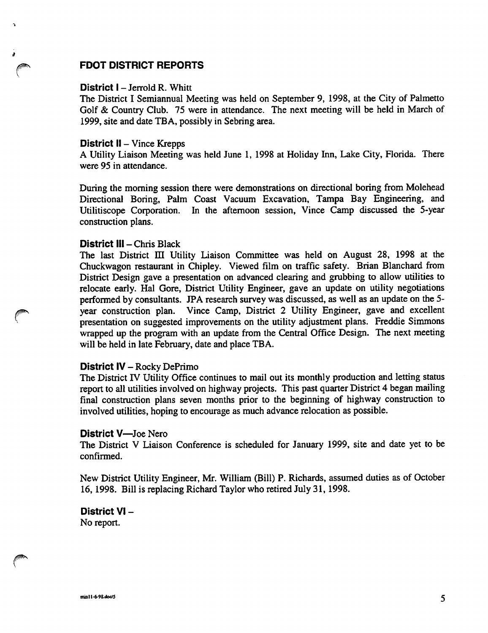# FDOT DISTRICT REPORTS

### District I - Jerrold R. Whitt

 $\overline{a}$ 

The District I Semiannual Meeting was held on September 9, 1998, at the City of Palmetto Golf & Country Club. 75 were in attendance. The next meeting will be held in March of 1999, site and date TEA, possibly in Sebring area.

#### District II - Vince Krepps

A Utility Liaison Meeting was held June 1, 1998 at Holiday Inn, Lake City, Florida. There were 95 in attendance.

During the morning session there were demonstrations on directional boring from Molehead Directional Boring, Palm Coast Vacuum Excavation, Tampa Bay Engineering, and Utilitiscope Corporation. In the afternoon session, Vince Camp discussed the 5-year construction plans.

### District III - Chris Black

The last District HI Utility Liaison Committee was held on August 28, 1998 at the Chuckwagon restaurant in Chipley. Viewed film on traffic safety. Brian Blanchard from District Design gave a presentation on advanced clearing and grubbing to allow utilities to relocate early. Hal Gore, District Utility Engineer, gave an update on utility negotiations performed by consultants. JPA research survey was discussed, as well as an update on the 5 year construction plan. Vince Camp, District 2 Utility Engineer, gave and excellent presentation on suggested improvements on the utility adjustment plans. Freddie Simmons wrapped up the program with an update from the Central Office Design. The next meeting will be held in late February, date and place TEA.

### District IV - Rocky DePrimo

The District IV Utility Office continues to mail out its monthly production and letting status report to all utilities involved on highway projects. This past quarter District 4 began mailing final construction plans seven months prior to the beginning of highway construction to involved utilities, hoping to encourage as much advance relocation as possible.

#### District V—Joe Nero

The District V Liaison Conference is scheduled for January 1999, site and date yet to be confirmed.

New District Utility Engineer, Mr. William (Bill) P. Richards, assumed duties as of October 16,1998. Bill is replacing Richard Taylor who retired July 31,1998.

District VI - No report.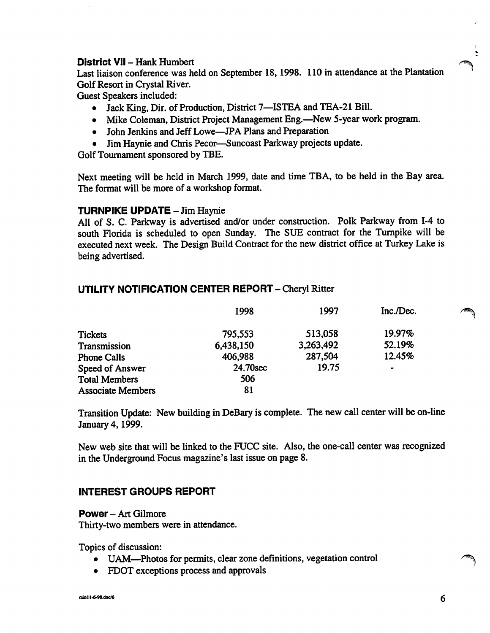# District VII - Hank Humbert

Last liaison conference was held on September 18,1998. 110 in attendance at the Plantation Golf Resort in Crystal River.

Guest Speakers included:

- Jack King, Dir. of Production, District 7—ISTEA and TEA-21 Bill.
- Mike Coleman, District Project Management Eng.—New 5-year work program.
- John Jenkins and Jeff Lowe—JPA Plans and Preparation
- Jim Haynie and Chris Pecor—Suncoast Parkway projects update.

Golf Tournament sponsored by TBE.

Next meeting will be held in March 1999, date and time TEA, to be held in the Bay area. The format will be more of a workshop format.

# TURNPIKE UPDATE - Jim Haynie

All of S. C. Parkway is advertised and/or under construction. Polk Parkway from 1-4 to south Florida is scheduled to open Sunday. The SUE contract for the Turnpike will be executed next week. The Design Build Contract for the new district office at Turkey Lake is being advertised.

# UTILITY NOTIFICATION CENTER REPORT - Cheryl Ritter

|                          | 1998      | 1997      | Inc./Dec. |
|--------------------------|-----------|-----------|-----------|
| <b>Tickets</b>           | 795,553   | 513,058   | 19.97%    |
| Transmission             | 6,438,150 | 3,263,492 | 52.19%    |
| <b>Phone Calls</b>       | 406,988   | 287,504   | 12.45%    |
| Speed of Answer          | 24.70sec  | 19.75     | $\bullet$ |
| <b>Total Members</b>     | 506       |           |           |
| <b>Associate Members</b> | 81        |           |           |

Transition Update: New building in DeBary is complete. The new call center will be on-line January 4,1999.

New web site that will be linked to the FUCC site. Also, the one-call center was recognized in the Underground Focus magazine's last issue on page 8.

# INTEREST GROUPS REPORT

Power - Art Gilmore

Thirty-two members were in attendance.

Topics of discussion:

- UAM—^Photos for permits, clear zone definitions, vegetation control
- FDOT exceptions process and approvals

t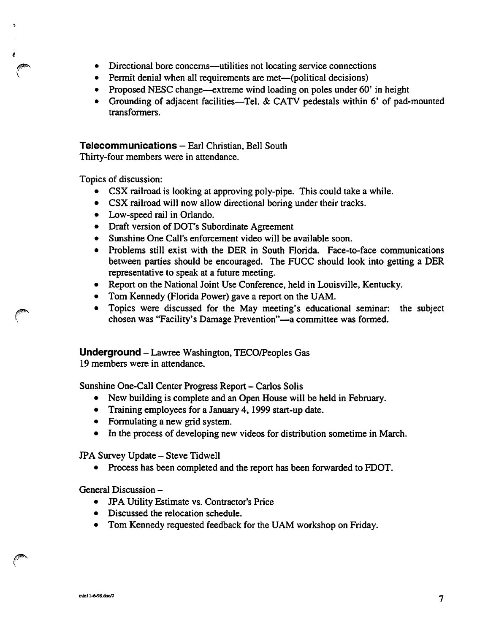- Directional bore concerns—utilities not locating service connections  $\bullet$
- Permit denial when all requirements are met—(political decisions)
- Proposed NESC change—extreme wind loading on poles under 60' in height  $\bullet$
- Grounding of adjacent facilities—Tel. & CATV pedestals within 6' of pad-mounted transformers.

# Telecommunications - Earl Christian, Bell South

Thirty-four members were in attendance.

Topics of discussion:

 $\overline{\phantom{a}}$ 

- CSX railroad is looking at approving poly-pipe. This could take a while.
- CSX railroad will now allow directional boring under their tracks.
- Low-speed rail in Orlando.
- Draft version of DOT's Subordinate Agreement
- Sunshine One Call's enforcement video will be available soon.
- Problems still exist with the DER in South Florida. Face-to-face communications between parties should be encouraged. The FUCC should look into getting a DER representative to speak at a future meeting.
- Report on the National Joint Use Conference, held in Louisville, Kentucky.
- Tom Kennedy (Florida Power) gave a report on the UAM.
- Topics were discussed for the May meeting's educational seminar: the subject chosen was "Facility's Damage Prevention"—a committee was formed.

Underground - Lawree Washington, TECO/Peoples Gas

19 members were in attendance.

Sunshine One-Call Center Progress Report - Carlos Solis

- New building is complete and an Open House will be held in February.
- Training employees for a January 4,1999 start-up date.
- Formulating a new grid system.
- In the process of developing new videos for distribution sometime in March.

JPA Survey Update - Steve Tidwell

• Process has been completed and the report has been forwarded to FDOT.

General Discussion -

- JPA Utility Estimate vs. Contractor's Price
- Discussed the relocation schedule.
- Tom Kennedy requested feedback for the UAM workshop on Friday.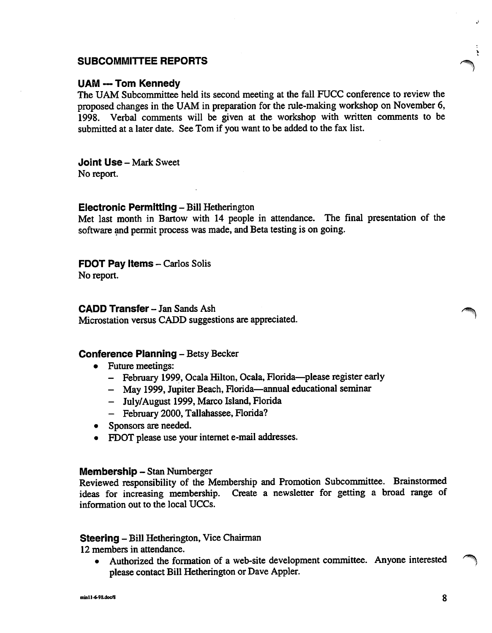# SUBCOMMITTEE REPORTS

### UAM --- Tom Kennedy

The UAM Subcommittee held its second meeting at the fall FUCC conference to review the proposed changes in the UAM in preparation for the rule-making workshop on November 6, 1998. Verbal comments will be given at the workshop with written comments to be submitted at a later date. See Tom if you want to be added to the fax list.

Joint Use - Mark Sweet No report.

#### Electronic Permitting - Biil Hetherington

Met last month in Bartow with 14 people in attendance. The final presentation of the software and permit process was made, and Beta testing is on going.

# FDOT Pay Items - Carlos Solis

No report.

# CADD Transfer - Jan Sands Ash

Microstation versus CADD suggestions are appreciated.

# Conference Planning - Betsy Becker

- Future meetings:
	- February 1999, Ocala Hilton, Ocala, Florida—please register early
	- May 1999, Jupiter Beach, Florida—annual educational seminar
	- July/August 1999, Marco Island, Florida
	- February 2000, Tallahassee, Florida?
- Sponsors are needed.
- FDOT please use your internet e-mail addresses.

#### Membership - Stan Numberger

Reviewed responsibility of the Membership and Promotion Subcommittee. Brainstormed ideas for increasing membership. Create a newsletter for getting a broad range of information out to the local UCCs.

# Steering - Bill Hetherington, Vice Chairman

12 members in attendance.

• Authorized the formation of a web-site development committee. Anyone interested please contact Bill Hetherington or Dave Appier.